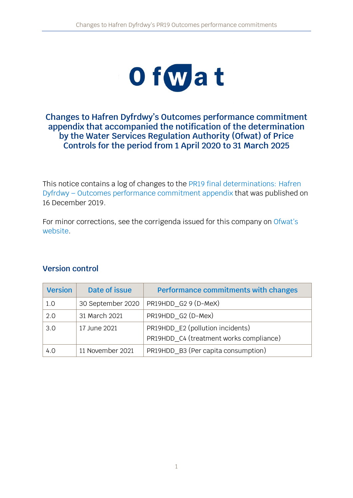

#### **Changes to Hafren Dyfrdwy's Outcomes performance commitment appendix that accompanied the notification of the determination by the Water Services Regulation Authority (Ofwat) of Price Controls for the period from 1 April 2020 to 31 March 2025**

This notice contains a log of changes to the [PR19 final determinations:](https://www.ofwat.gov.uk/publication/pr19-final-determinations-hafren-dyfrdwy-outcomes-performance-commitment-appendix/) Hafren Dyfrdwy – [Outcomes performance commitment appendix](https://www.ofwat.gov.uk/publication/pr19-final-determinations-hafren-dyfrdwy-outcomes-performance-commitment-appendix/) that was published on 16 December 2019.

For minor corrections, see the corrigenda issued for this company on [Ofwat's](https://www.ofwat.gov.uk/regulated-companies/price-review/2019-price-review/pr19-outcomes-performance-commitments-changes-and-corrections/) [website.](https://www.ofwat.gov.uk/regulated-companies/price-review/2019-price-review/pr19-outcomes-performance-commitments-changes-and-corrections/)

#### **Version control**

| <b>Version</b> | Date of issue     | Performance commitments with changes    |
|----------------|-------------------|-----------------------------------------|
| 1.0            | 30 September 2020 | PR19HDD_G2 9 (D-MeX)                    |
| 2.0            | 31 March 2021     | PR19HDD G2 (D-Mex)                      |
| 3.0            | 17 June 2021      | PR19HDD_E2 (pollution incidents)        |
|                |                   | PR19HDD C4 (treatment works compliance) |
| 4.0            | 11 November 2021  | PR19HDD_B3 (Per capita consumption)     |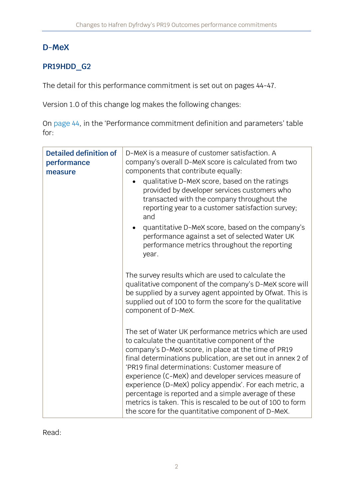## **D-MeX**

## **PR19HDD\_G2**

The detail for this performance commitment is set out on pages 44-47.

Version 1.0 of this change log makes the following changes:

On [page 44](https://www.ofwat.gov.uk/wp-content/uploads/2019/12/PR19-final-determinations-Hafren-Dyfrdwy-Outcomes-performance-commitment-appendix.pdf#page=45), in the 'Performance commitment definition and parameters' table for:

| <b>Detailed definition of</b><br>performance<br>measure | D-MeX is a measure of customer satisfaction. A<br>company's overall D-MeX score is calculated from two<br>components that contribute equally:<br>qualitative D-MeX score, based on the ratings<br>provided by developer services customers who<br>transacted with the company throughout the<br>reporting year to a customer satisfaction survey;<br>and<br>quantitative D-MeX score, based on the company's<br>performance against a set of selected Water UK<br>performance metrics throughout the reporting<br>year.                                                           |
|---------------------------------------------------------|-----------------------------------------------------------------------------------------------------------------------------------------------------------------------------------------------------------------------------------------------------------------------------------------------------------------------------------------------------------------------------------------------------------------------------------------------------------------------------------------------------------------------------------------------------------------------------------|
|                                                         | The survey results which are used to calculate the<br>qualitative component of the company's D-MeX score will<br>be supplied by a survey agent appointed by Ofwat. This is<br>supplied out of 100 to form the score for the qualitative<br>component of D-MeX.                                                                                                                                                                                                                                                                                                                    |
|                                                         | The set of Water UK performance metrics which are used<br>to calculate the quantitative component of the<br>company's D-MeX score, in place at the time of PR19<br>final determinations publication, are set out in annex 2 of<br>'PR19 final determinations: Customer measure of<br>experience (C-MeX) and developer services measure of<br>experience (D-MeX) policy appendix'. For each metric, a<br>percentage is reported and a simple average of these<br>metrics is taken. This is rescaled to be out of 100 to form<br>the score for the quantitative component of D-MeX. |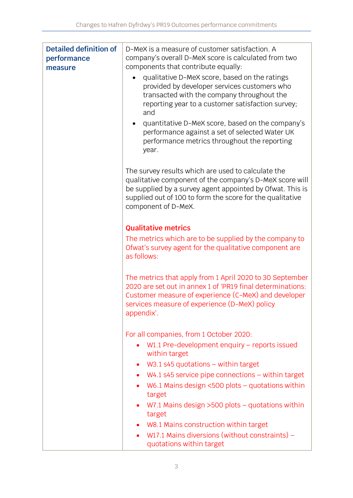| <b>Detailed definition of</b><br>performance<br>measure | D-MeX is a measure of customer satisfaction. A<br>company's overall D-MeX score is calculated from two<br>components that contribute equally:                                                                                                                  |
|---------------------------------------------------------|----------------------------------------------------------------------------------------------------------------------------------------------------------------------------------------------------------------------------------------------------------------|
|                                                         | qualitative D-MeX score, based on the ratings<br>provided by developer services customers who<br>transacted with the company throughout the<br>reporting year to a customer satisfaction survey;<br>and                                                        |
|                                                         | quantitative D-MeX score, based on the company's<br>performance against a set of selected Water UK<br>performance metrics throughout the reporting<br>year.                                                                                                    |
|                                                         | The survey results which are used to calculate the<br>qualitative component of the company's D-MeX score will<br>be supplied by a survey agent appointed by Ofwat. This is<br>supplied out of 100 to form the score for the qualitative<br>component of D-MeX. |
|                                                         | <b>Qualitative metrics</b>                                                                                                                                                                                                                                     |
|                                                         | The metrics which are to be supplied by the company to<br>Ofwat's survey agent for the qualitative component are<br>as follows:                                                                                                                                |
|                                                         | The metrics that apply from 1 April 2020 to 30 September<br>2020 are set out in annex 1 of 'PR19 final determinations:<br>Customer measure of experience (C-MeX) and developer<br>services measure of experience (D-MeX) policy<br>appendix'.                  |
|                                                         | For all companies, from 1 October 2020:                                                                                                                                                                                                                        |
|                                                         | W1.1 Pre-development enquiry $-$ reports issued<br>within target                                                                                                                                                                                               |
|                                                         | $W3.1$ s45 quotations – within target<br>$\bullet$                                                                                                                                                                                                             |
|                                                         | $W4.1$ s45 service pipe connections $-$ within target<br>$\bullet$                                                                                                                                                                                             |
|                                                         | W6.1 Mains design $<500$ plots – quotations within<br>target                                                                                                                                                                                                   |
|                                                         | W7.1 Mains design $>500$ plots – quotations within<br>target                                                                                                                                                                                                   |
|                                                         | • W8.1 Mains construction within target                                                                                                                                                                                                                        |
|                                                         | W17.1 Mains diversions (without constraints) –<br>$\bullet$<br>quotations within target                                                                                                                                                                        |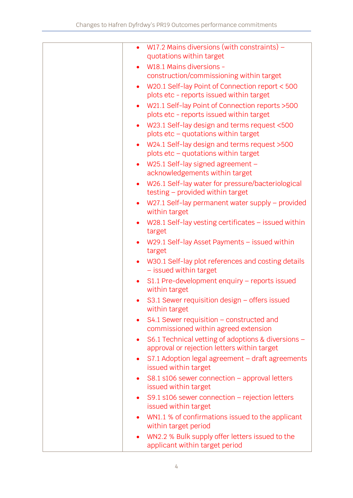| $\bullet$ | W17.2 Mains diversions (with constraints) $-$                                         |
|-----------|---------------------------------------------------------------------------------------|
|           | quotations within target                                                              |
|           | W18.1 Mains diversions -                                                              |
|           | construction/commissioning within target                                              |
| $\bullet$ | W20.1 Self-lay Point of Connection report < 500                                       |
|           | plots etc - reports issued within target                                              |
| $\bullet$ | W21.1 Self-lay Point of Connection reports > 500                                      |
|           | plots etc - reports issued within target                                              |
| $\bullet$ | W23.1 Self-lay design and terms request <500                                          |
|           | plots etc - quotations within target                                                  |
| $\bullet$ | W24.1 Self-lay design and terms request >500                                          |
|           | plots etc - quotations within target                                                  |
| $\bullet$ | W25.1 Self-lay signed agreement -<br>acknowledgements within target                   |
|           |                                                                                       |
| $\bullet$ | W26.1 Self-lay water for pressure/bacteriological<br>testing - provided within target |
| $\bullet$ | W27.1 Self-lay permanent water supply – provided                                      |
|           | within target                                                                         |
| $\bullet$ | W28.1 Self-lay vesting certificates – issued within                                   |
|           | target                                                                                |
|           | W29.1 Self-lay Asset Payments - issued within<br>target                               |
|           | W30.1 Self-lay plot references and costing details                                    |
| $\bullet$ | - issued within target                                                                |
| $\bullet$ | S1.1 Pre-development enquiry - reports issued                                         |
|           | within target                                                                         |
|           | S3.1 Sewer requisition design - offers issued<br>within target                        |
| $\bullet$ | $S4.1$ Sewer requisition – constructed and                                            |
|           | commissioned within agreed extension                                                  |
| $\bullet$ | S6.1 Technical vetting of adoptions & diversions -                                    |
|           | approval or rejection letters within target                                           |
| $\bullet$ | S7.1 Adoption legal agreement - draft agreements<br>issued within target              |
| ٠         | $S8.1$ s106 sewer connection – approval letters                                       |
|           | issued within target                                                                  |
| $\bullet$ | S9.1 s106 sewer connection $-$ rejection letters                                      |
|           | issued within target                                                                  |
|           | WN1.1 % of confirmations issued to the applicant                                      |
|           | within target period                                                                  |
|           | WN2.2 % Bulk supply offer letters issued to the<br>applicant within target period     |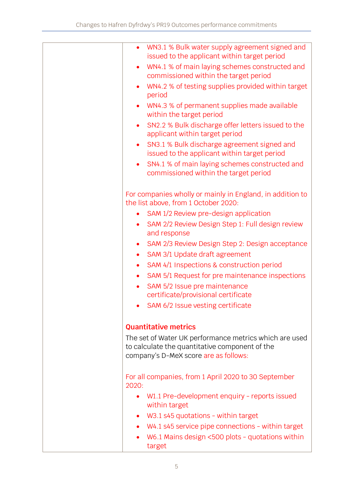| WN3.1 % Bulk water supply agreement signed and<br>$\bullet$<br>issued to the applicant within target period                                       |
|---------------------------------------------------------------------------------------------------------------------------------------------------|
| WN4.1 % of main laying schemes constructed and<br>commissioned within the target period                                                           |
| WN4.2 % of testing supplies provided within target<br>period                                                                                      |
| WN4.3 % of permanent supplies made available<br>within the target period                                                                          |
| SN2.2 % Bulk discharge offer letters issued to the<br>$\bullet$<br>applicant within target period                                                 |
| SN3.1 % Bulk discharge agreement signed and<br>$\bullet$<br>issued to the applicant within target period                                          |
| SN4.1 % of main laying schemes constructed and<br>$\bullet$<br>commissioned within the target period                                              |
| For companies wholly or mainly in England, in addition to<br>the list above, from 1 October 2020:                                                 |
| SAM 1/2 Review pre-design application<br>$\bullet$                                                                                                |
| SAM 2/2 Review Design Step 1: Full design review<br>$\bullet$<br>and response                                                                     |
| SAM 2/3 Review Design Step 2: Design acceptance<br>٠                                                                                              |
| SAM 3/1 Update draft agreement<br>$\bullet$                                                                                                       |
| SAM 4/1 Inspections & construction period<br>$\bullet$                                                                                            |
| SAM 5/1 Request for pre maintenance inspections<br>$\bullet$                                                                                      |
| SAM 5/2 Issue pre maintenance<br>$\bullet$                                                                                                        |
| certificate/provisional certificate                                                                                                               |
| SAM 6/2 Issue vesting certificate                                                                                                                 |
| <b>Quantitative metrics</b>                                                                                                                       |
| The set of Water UK performance metrics which are used<br>to calculate the quantitative component of the<br>company's D-MeX score are as follows: |
| For all companies, from 1 April 2020 to 30 September<br>2020:                                                                                     |
| W1.1 Pre-development enquiry - reports issued<br>$\bullet$<br>within target                                                                       |
| W3.1 s45 quotations - within target                                                                                                               |
| W4.1 s45 service pipe connections - within target                                                                                                 |
| W6.1 Mains design <500 plots - quotations within<br>target                                                                                        |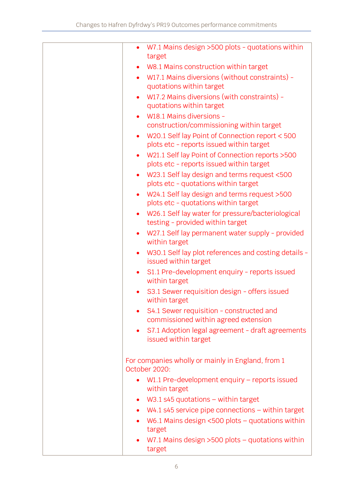| $\bullet$ | W7.1 Mains design >500 plots - quotations within<br>target                                   |
|-----------|----------------------------------------------------------------------------------------------|
|           | W8.1 Mains construction within target                                                        |
| $\bullet$ | W17.1 Mains diversions (without constraints) -<br>quotations within target                   |
| $\bullet$ | W17.2 Mains diversions (with constraints) -<br>quotations within target                      |
| $\bullet$ | W18.1 Mains diversions -                                                                     |
|           | construction/commissioning within target                                                     |
| $\bullet$ | W20.1 Self lay Point of Connection report < 500<br>plots etc - reports issued within target  |
| $\bullet$ | W21.1 Self lay Point of Connection reports > 500<br>plots etc - reports issued within target |
| $\bullet$ | W23.1 Self lay design and terms request <500<br>plots etc - quotations within target         |
| $\bullet$ | W24.1 Self lay design and terms request >500<br>plots etc - quotations within target         |
| $\bullet$ | W26.1 Self lay water for pressure/bacteriological<br>testing - provided within target        |
| $\bullet$ | W27.1 Self lay permanent water supply - provided<br>within target                            |
| $\bullet$ | W30.1 Self lay plot references and costing details -<br>issued within target                 |
| $\bullet$ | S1.1 Pre-development enquiry - reports issued<br>within target                               |
|           | S3.1 Sewer requisition design - offers issued<br>within target                               |
|           | S4.1 Sewer requisition - constructed and<br>commissioned within agreed extension             |
| $\bullet$ | S7.1 Adoption legal agreement - draft agreements<br>issued within target                     |
|           | For companies wholly or mainly in England, from 1<br>October 2020:                           |
| $\bullet$ | $W1.1$ Pre-development enquiry – reports issued<br>within target                             |
| ٠         | W3.1 s45 quotations $-$ within target                                                        |
|           | $W4.1$ s45 service pipe connections $-$ within target                                        |
| $\bullet$ | W6.1 Mains design $<500$ plots – quotations within                                           |
|           | target                                                                                       |
|           | W7.1 Mains design $>500$ plots - quotations within<br>target                                 |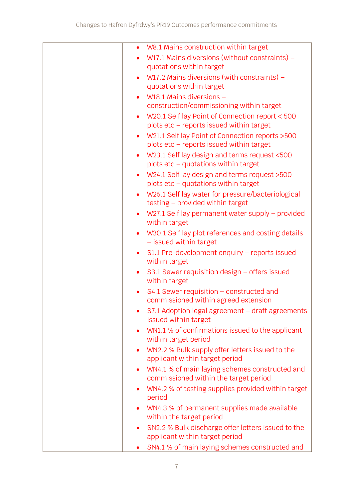| $\bullet$ | W8.1 Mains construction within target                                                        |
|-----------|----------------------------------------------------------------------------------------------|
|           | W17.1 Mains diversions (without constraints) $-$                                             |
|           | quotations within target                                                                     |
| $\bullet$ | W17.2 Mains diversions (with constraints) $-$                                                |
|           | quotations within target                                                                     |
|           | W18.1 Mains diversions -                                                                     |
|           | construction/commissioning within target                                                     |
| $\bullet$ | W20.1 Self lay Point of Connection report < 500                                              |
|           | plots etc - reports issued within target                                                     |
| $\bullet$ | W21.1 Self lay Point of Connection reports > 500<br>plots etc - reports issued within target |
| $\bullet$ | W23.1 Self lay design and terms request <500                                                 |
|           | plots etc - quotations within target                                                         |
| $\bullet$ | W24.1 Self lay design and terms request >500<br>plots etc - quotations within target         |
| $\bullet$ | W26.1 Self lay water for pressure/bacteriological<br>testing - provided within target        |
| $\bullet$ | W27.1 Self lay permanent water supply - provided<br>within target                            |
| $\bullet$ | W30.1 Self lay plot references and costing details<br>- issued within target                 |
| $\bullet$ | S1.1 Pre-development enquiry - reports issued<br>within target                               |
| $\bullet$ | S3.1 Sewer requisition design – offers issued<br>within target                               |
|           | $S4.1$ Sewer requisition – constructed and<br>commissioned within agreed extension           |
|           | S7.1 Adoption legal agreement - draft agreements<br>issued within target                     |
|           | WN1.1 % of confirmations issued to the applicant<br>within target period                     |
| $\bullet$ | WN2.2 % Bulk supply offer letters issued to the<br>applicant within target period            |
| $\bullet$ | WN4.1 % of main laying schemes constructed and<br>commissioned within the target period      |
|           | WN4.2 % of testing supplies provided within target<br>period                                 |
|           | WN4.3 % of permanent supplies made available                                                 |
|           | within the target period                                                                     |
| $\bullet$ | SN2.2 % Bulk discharge offer letters issued to the<br>applicant within target period         |
|           | SN4.1 % of main laying schemes constructed and                                               |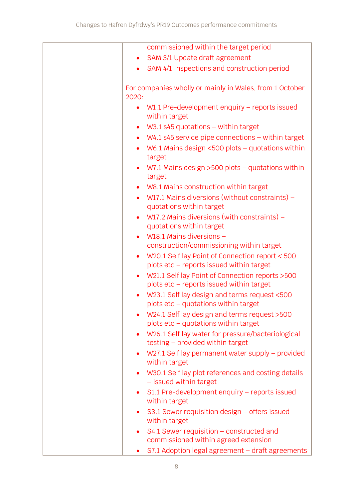| commissioned within the target period                                                                     |
|-----------------------------------------------------------------------------------------------------------|
| SAM 3/1 Update draft agreement                                                                            |
| SAM 4/1 Inspections and construction period                                                               |
| For companies wholly or mainly in Wales, from 1 October<br>2020:                                          |
| W1.1 Pre-development enquiry $-$ reports issued<br>$\bullet$<br>within target                             |
| $W3.1$ s45 quotations – within target<br>٠                                                                |
| $W4.1$ s45 service pipe connections $-$ within target<br>$\bullet$                                        |
| W6.1 Mains design $<500$ plots – quotations within<br>$\bullet$<br>target                                 |
| W7.1 Mains design $>500$ plots – quotations within<br>$\bullet$<br>target                                 |
| W8.1 Mains construction within target<br>$\bullet$                                                        |
| W17.1 Mains diversions (without constraints) -<br>$\bullet$<br>quotations within target                   |
| W17.2 Mains diversions (with constraints) $-$<br>$\bullet$<br>quotations within target                    |
| W18.1 Mains diversions -<br>$\bullet$                                                                     |
| construction/commissioning within target                                                                  |
| W20.1 Self lay Point of Connection report < 500<br>$\bullet$<br>plots etc - reports issued within target  |
| W21.1 Self lay Point of Connection reports > 500<br>$\bullet$<br>plots etc - reports issued within target |
| W23.1 Self lay design and terms request <500<br>plots etc - quotations within target                      |
| W24.1 Self lay design and terms request >500<br>plots etc - quotations within target                      |
| W26.1 Self lay water for pressure/bacteriological<br>$\bullet$<br>testing - provided within target        |
| W27.1 Self lay permanent water supply – provided<br>$\bullet$<br>within target                            |
| W30.1 Self lay plot references and costing details<br>$\bullet$<br>- issued within target                 |
| S1.1 Pre-development enquiry - reports issued<br>٠<br>within target                                       |
| S3.1 Sewer requisition design $-$ offers issued<br>$\bullet$<br>within target                             |
| $S4.1$ Sewer requisition – constructed and<br>٠<br>commissioned within agreed extension                   |
| S7.1 Adoption legal agreement - draft agreements                                                          |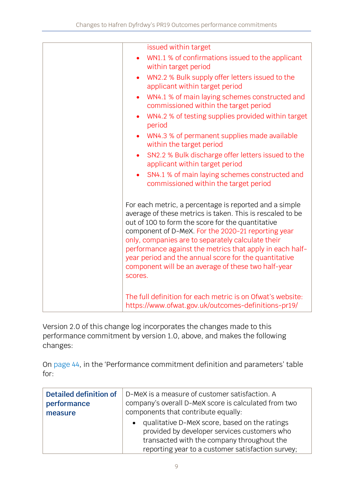| issued within target                                                                                                                                                                                                                                                                                                                                                                                                                                                       |
|----------------------------------------------------------------------------------------------------------------------------------------------------------------------------------------------------------------------------------------------------------------------------------------------------------------------------------------------------------------------------------------------------------------------------------------------------------------------------|
| WN1.1 % of confirmations issued to the applicant<br>within target period                                                                                                                                                                                                                                                                                                                                                                                                   |
| WN2.2 % Bulk supply offer letters issued to the<br>applicant within target period                                                                                                                                                                                                                                                                                                                                                                                          |
| WN4.1 % of main laying schemes constructed and<br>commissioned within the target period                                                                                                                                                                                                                                                                                                                                                                                    |
| WN4.2 % of testing supplies provided within target<br>period                                                                                                                                                                                                                                                                                                                                                                                                               |
| WN4.3 % of permanent supplies made available<br>within the target period                                                                                                                                                                                                                                                                                                                                                                                                   |
| SN2.2 % Bulk discharge offer letters issued to the<br>applicant within target period                                                                                                                                                                                                                                                                                                                                                                                       |
| SN4.1 % of main laying schemes constructed and<br>commissioned within the target period                                                                                                                                                                                                                                                                                                                                                                                    |
| For each metric, a percentage is reported and a simple<br>average of these metrics is taken. This is rescaled to be<br>out of 100 to form the score for the quantitative<br>component of D-MeX. For the 2020-21 reporting year<br>only, companies are to separately calculate their<br>performance against the metrics that apply in each half-<br>year period and the annual score for the quantitative<br>component will be an average of these two half-year<br>scores. |
| The full definition for each metric is on Ofwat's website:<br>https://www.ofwat.gov.uk/outcomes-definitions-pr19/                                                                                                                                                                                                                                                                                                                                                          |

Version 2.0 of this change log incorporates the changes made to this performance commitment by version 1.0, above, and makes the following changes:

On [page 44](https://www.ofwat.gov.uk/wp-content/uploads/2019/12/PR19-final-determinations-Hafren-Dyfrdwy-Outcomes-performance-commitment-appendix.pdf#page=45), in the 'Performance commitment definition and parameters' table for:

| Detailed definition of | D-MeX is a measure of customer satisfaction. A                                                                                                                                                                |  |
|------------------------|---------------------------------------------------------------------------------------------------------------------------------------------------------------------------------------------------------------|--|
| performance            | company's overall D-MeX score is calculated from two                                                                                                                                                          |  |
| measure                | components that contribute equally:                                                                                                                                                                           |  |
|                        | qualitative D-MeX score, based on the ratings<br>$\bullet$<br>provided by developer services customers who<br>transacted with the company throughout the<br>reporting year to a customer satisfaction survey; |  |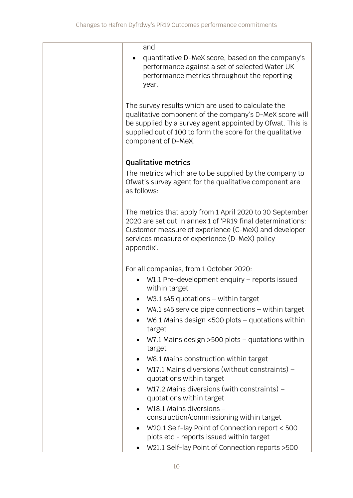| and                                                                                                                                                                                                                                                            |
|----------------------------------------------------------------------------------------------------------------------------------------------------------------------------------------------------------------------------------------------------------------|
| quantitative D-MeX score, based on the company's<br>performance against a set of selected Water UK<br>performance metrics throughout the reporting<br>year.                                                                                                    |
| The survey results which are used to calculate the<br>qualitative component of the company's D-MeX score will<br>be supplied by a survey agent appointed by Ofwat. This is<br>supplied out of 100 to form the score for the qualitative<br>component of D-MeX. |
| <b>Qualitative metrics</b>                                                                                                                                                                                                                                     |
| The metrics which are to be supplied by the company to<br>Ofwat's survey agent for the qualitative component are<br>as follows:                                                                                                                                |
| The metrics that apply from 1 April 2020 to 30 September<br>2020 are set out in annex 1 of 'PR19 final determinations:<br>Customer measure of experience (C-MeX) and developer<br>services measure of experience (D-MeX) policy<br>appendix'.                  |
| For all companies, from 1 October 2020:                                                                                                                                                                                                                        |
| $W1.1$ Pre-development enquiry – reports issued<br>within target                                                                                                                                                                                               |
| W3.1 s45 quotations $-$ within target                                                                                                                                                                                                                          |
| $W4.1$ s45 service pipe connections $-$ within target                                                                                                                                                                                                          |
| W6.1 Mains design $<500$ plots - quotations within<br>target                                                                                                                                                                                                   |
| W7.1 Mains design $>500$ plots - quotations within<br>$\bullet$<br>target                                                                                                                                                                                      |
| W8.1 Mains construction within target                                                                                                                                                                                                                          |
| W17.1 Mains diversions (without constraints) -<br>quotations within target                                                                                                                                                                                     |
| W17.2 Mains diversions (with constraints) $-$<br>quotations within target                                                                                                                                                                                      |
| W18.1 Mains diversions -                                                                                                                                                                                                                                       |
| construction/commissioning within target                                                                                                                                                                                                                       |
| W20.1 Self-lay Point of Connection report < 500<br>$\bullet$<br>plots etc - reports issued within target                                                                                                                                                       |
| W21.1 Self-lay Point of Connection reports > 500                                                                                                                                                                                                               |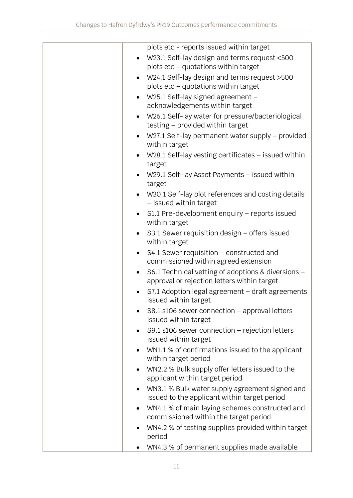| plots etc - reports issued within target                                                                       |
|----------------------------------------------------------------------------------------------------------------|
| W23.1 Self-lay design and terms request <500                                                                   |
| plots etc - quotations within target                                                                           |
| W24.1 Self-lay design and terms request >500<br>$\bullet$                                                      |
| plots etc - quotations within target                                                                           |
| W25.1 Self-lay signed agreement -                                                                              |
| acknowledgements within target                                                                                 |
| W26.1 Self-lay water for pressure/bacteriological<br>$\bullet$                                                 |
| testing - provided within target                                                                               |
| W27.1 Self-lay permanent water supply - provided<br>within target                                              |
| W28.1 Self-lay vesting certificates $-$ issued within                                                          |
| target                                                                                                         |
| W29.1 Self-lay Asset Payments - issued within<br>target                                                        |
| W30.1 Self-lay plot references and costing details<br>- issued within target                                   |
| S1.1 Pre-development enquiry - reports issued<br>within target                                                 |
| S3.1 Sewer requisition design – offers issued<br>within target                                                 |
| S4.1 Sewer requisition - constructed and<br>$\bullet$<br>commissioned within agreed extension                  |
| S6.1 Technical vetting of adoptions & diversions -<br>$\bullet$<br>approval or rejection letters within target |
| S7.1 Adoption legal agreement - draft agreements<br>issued within target                                       |
| S8.1 s106 sewer connection $-$ approval letters<br>issued within target                                        |
| S9.1 s106 sewer connection $-$ rejection letters                                                               |
| issued within target                                                                                           |
| WN1.1 % of confirmations issued to the applicant                                                               |
| within target period                                                                                           |
| WN2.2 % Bulk supply offer letters issued to the<br>$\bullet$<br>applicant within target period                 |
| WN3.1 % Bulk water supply agreement signed and<br>issued to the applicant within target period                 |
| WN4.1 % of main laying schemes constructed and<br>$\bullet$                                                    |
| commissioned within the target period                                                                          |
| WN4.2 % of testing supplies provided within target<br>period                                                   |
| WN4.3 % of permanent supplies made available                                                                   |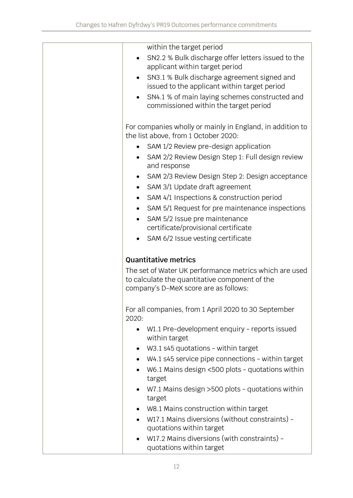| within the target period                                                                          |
|---------------------------------------------------------------------------------------------------|
| SN2.2 % Bulk discharge offer letters issued to the                                                |
| applicant within target period                                                                    |
| SN3.1 % Bulk discharge agreement signed and<br>$\bullet$                                          |
| issued to the applicant within target period                                                      |
| SN4.1 % of main laying schemes constructed and                                                    |
| commissioned within the target period                                                             |
|                                                                                                   |
|                                                                                                   |
| For companies wholly or mainly in England, in addition to<br>the list above, from 1 October 2020: |
|                                                                                                   |
| SAM 1/2 Review pre-design application                                                             |
| SAM 2/2 Review Design Step 1: Full design review                                                  |
| and response                                                                                      |
| SAM 2/3 Review Design Step 2: Design acceptance                                                   |
| SAM 3/1 Update draft agreement                                                                    |
| SAM 4/1 Inspections & construction period                                                         |
| SAM 5/1 Request for pre maintenance inspections                                                   |
| SAM 5/2 Issue pre maintenance<br>$\bullet$                                                        |
| certificate/provisional certificate                                                               |
|                                                                                                   |
| SAM 6/2 Issue vesting certificate                                                                 |
| <b>Quantitative metrics</b>                                                                       |
|                                                                                                   |
| The set of Water UK performance metrics which are used                                            |
| to calculate the quantitative component of the                                                    |
| company's D-MeX score are as follows:                                                             |
|                                                                                                   |
| For all companies, from 1 April 2020 to 30 September                                              |
| 2020:                                                                                             |
| W1.1 Pre-development enquiry - reports issued<br>$\bullet$                                        |
| within target                                                                                     |
| W3.1 s45 quotations - within target                                                               |
| W4.1 s45 service pipe connections - within target                                                 |
| W6.1 Mains design <500 plots - quotations within                                                  |
| target                                                                                            |
| W7.1 Mains design > 500 plots - quotations within                                                 |
| target                                                                                            |
| W8.1 Mains construction within target                                                             |
|                                                                                                   |
| $\bullet$                                                                                         |
| W17.1 Mains diversions (without constraints) -                                                    |
| quotations within target<br>W17.2 Mains diversions (with constraints) -                           |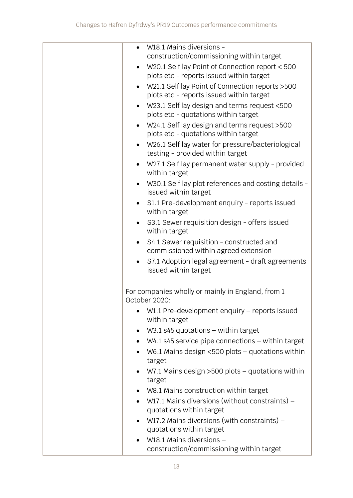| W18.1 Mains diversions -<br>construction/commissioning within target                         |
|----------------------------------------------------------------------------------------------|
| W20.1 Self lay Point of Connection report < 500                                              |
| plots etc - reports issued within target                                                     |
| W21.1 Self lay Point of Connection reports > 500<br>plots etc - reports issued within target |
| W23.1 Self lay design and terms request <500                                                 |
| plots etc - quotations within target                                                         |
| W24.1 Self lay design and terms request >500<br>plots etc - quotations within target         |
| W26.1 Self lay water for pressure/bacteriological<br>testing - provided within target        |
| W27.1 Self lay permanent water supply - provided<br>within target                            |
| W30.1 Self lay plot references and costing details -<br>issued within target                 |
| S1.1 Pre-development enquiry - reports issued<br>within target                               |
| S3.1 Sewer requisition design - offers issued<br>within target                               |
| S4.1 Sewer requisition - constructed and<br>commissioned within agreed extension             |
| S7.1 Adoption legal agreement - draft agreements<br>issued within target                     |
| For companies wholly or mainly in England, from 1<br>October 2020:                           |
| W1.1 Pre-development enquiry – reports issued<br>within target                               |
| $W3.1$ s45 quotations – within target                                                        |
| $W4.1$ s45 service pipe connections $-$ within target                                        |
| W6.1 Mains design $<500$ plots – quotations within<br>target                                 |
| W7.1 Mains design $>500$ plots – quotations within<br>target                                 |
| W8.1 Mains construction within target                                                        |
| W17.1 Mains diversions (without constraints) -                                               |
| quotations within target                                                                     |
| W17.2 Mains diversions (with constraints) $-$<br>$\bullet$                                   |
| quotations within target                                                                     |
| W18.1 Mains diversions -                                                                     |
| construction/commissioning within target                                                     |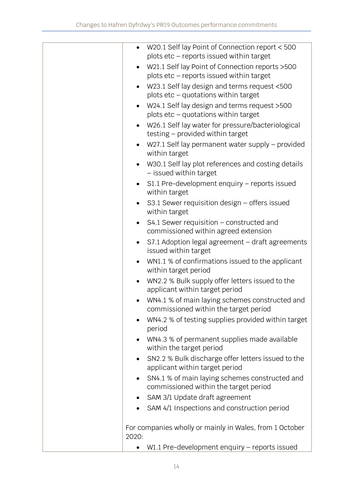| $\bullet$ | W20.1 Self lay Point of Connection report < 500<br>plots etc - reports issued within target  |
|-----------|----------------------------------------------------------------------------------------------|
| $\bullet$ | W21.1 Self lay Point of Connection reports > 500<br>plots etc - reports issued within target |
|           | W23.1 Self lay design and terms request <500<br>plots etc - quotations within target         |
| $\bullet$ | W24.1 Self lay design and terms request >500<br>plots etc - quotations within target         |
| $\bullet$ | W26.1 Self lay water for pressure/bacteriological<br>testing - provided within target        |
| $\bullet$ | W27.1 Self lay permanent water supply – provided<br>within target                            |
|           | W30.1 Self lay plot references and costing details<br>- issued within target                 |
|           | S1.1 Pre-development enquiry - reports issued<br>within target                               |
|           | S3.1 Sewer requisition design - offers issued<br>within target                               |
| $\bullet$ | S4.1 Sewer requisition – constructed and<br>commissioned within agreed extension             |
| $\bullet$ | S7.1 Adoption legal agreement - draft agreements<br>issued within target                     |
|           | WN1.1 % of confirmations issued to the applicant<br>within target period                     |
| $\bullet$ | WN2.2 % Bulk supply offer letters issued to the<br>applicant within target period            |
| $\bullet$ | WN4.1 % of main laying schemes constructed and<br>commissioned within the target period      |
|           | WN4.2 % of testing supplies provided within target<br>period                                 |
| $\bullet$ | WN4.3 % of permanent supplies made available<br>within the target period                     |
| $\bullet$ | SN2.2 % Bulk discharge offer letters issued to the<br>applicant within target period         |
| $\bullet$ | SN4.1 % of main laying schemes constructed and<br>commissioned within the target period      |
| ٠         | SAM 3/1 Update draft agreement                                                               |
|           | SAM 4/1 Inspections and construction period                                                  |
| 2020:     | For companies wholly or mainly in Wales, from 1 October                                      |
|           | W1.1 Pre-development enquiry - reports issued                                                |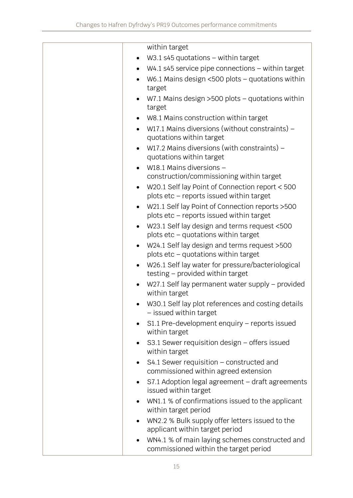|           | within target                                                                                |
|-----------|----------------------------------------------------------------------------------------------|
|           | W3.1 s45 quotations $-$ within target                                                        |
|           | $W4.1$ s45 service pipe connections $-$ within target                                        |
|           | W6.1 Mains design $<500$ plots - quotations within<br>target                                 |
|           | W7.1 Mains design $>500$ plots - quotations within<br>target                                 |
| $\bullet$ | W8.1 Mains construction within target                                                        |
| $\bullet$ | W17.1 Mains diversions (without constraints) -                                               |
|           | quotations within target                                                                     |
| $\bullet$ | W17.2 Mains diversions (with constraints) $-$<br>quotations within target                    |
|           | W18.1 Mains diversions -                                                                     |
|           | construction/commissioning within target                                                     |
| $\bullet$ | W20.1 Self lay Point of Connection report < 500<br>plots etc - reports issued within target  |
|           | W21.1 Self lay Point of Connection reports > 500<br>plots etc - reports issued within target |
| $\bullet$ | W23.1 Self lay design and terms request <500<br>plots etc - quotations within target         |
| $\bullet$ | W24.1 Self lay design and terms request >500<br>plots etc - quotations within target         |
| $\bullet$ | W26.1 Self lay water for pressure/bacteriological<br>testing - provided within target        |
|           | W27.1 Self lay permanent water supply – provided<br>within target                            |
|           | W30.1 Self lay plot references and costing details<br>- issued within target                 |
|           | S1.1 Pre-development enquiry - reports issued<br>within target                               |
|           | S3.1 Sewer requisition design - offers issued<br>within target                               |
| $\bullet$ | S4.1 Sewer requisition - constructed and<br>commissioned within agreed extension             |
| $\bullet$ | S7.1 Adoption legal agreement - draft agreements<br>issued within target                     |
| $\bullet$ | WN1.1 % of confirmations issued to the applicant<br>within target period                     |
| $\bullet$ | WN2.2 % Bulk supply offer letters issued to the                                              |
|           | applicant within target period                                                               |
| $\bullet$ | WN4.1 % of main laying schemes constructed and<br>commissioned within the target period      |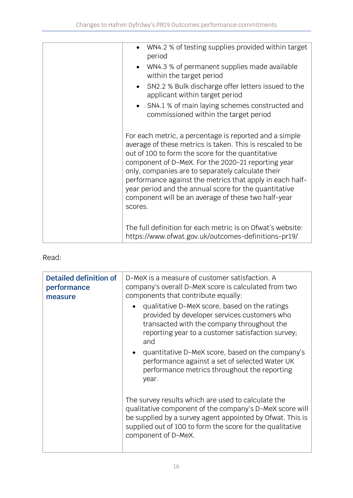| WN4.2 % of testing supplies provided within target<br>period                                                                                                                                                                                                                                                                                                                                                                                                               |
|----------------------------------------------------------------------------------------------------------------------------------------------------------------------------------------------------------------------------------------------------------------------------------------------------------------------------------------------------------------------------------------------------------------------------------------------------------------------------|
| WN4.3 % of permanent supplies made available<br>within the target period                                                                                                                                                                                                                                                                                                                                                                                                   |
| SN2.2 % Bulk discharge offer letters issued to the<br>applicant within target period                                                                                                                                                                                                                                                                                                                                                                                       |
| • SN4.1 % of main laying schemes constructed and<br>commissioned within the target period                                                                                                                                                                                                                                                                                                                                                                                  |
| For each metric, a percentage is reported and a simple<br>average of these metrics is taken. This is rescaled to be<br>out of 100 to form the score for the quantitative<br>component of D-MeX. For the 2020-21 reporting year<br>only, companies are to separately calculate their<br>performance against the metrics that apply in each half-<br>year period and the annual score for the quantitative<br>component will be an average of these two half-year<br>scores. |
| The full definition for each metric is on Ofwat's website:<br>https://www.ofwat.gov.uk/outcomes-definitions-pr19/                                                                                                                                                                                                                                                                                                                                                          |

| Detailed definition of<br>performance<br>measure | D-MeX is a measure of customer satisfaction. A<br>company's overall D-MeX score is calculated from two<br>components that contribute equally:                                                                                                                  |
|--------------------------------------------------|----------------------------------------------------------------------------------------------------------------------------------------------------------------------------------------------------------------------------------------------------------------|
|                                                  | qualitative D-MeX score, based on the ratings<br>$\bullet$<br>provided by developer services customers who<br>transacted with the company throughout the<br>reporting year to a customer satisfaction survey;<br>and                                           |
|                                                  | quantitative D-MeX score, based on the company's<br>$\bullet$<br>performance against a set of selected Water UK<br>performance metrics throughout the reporting<br>year.                                                                                       |
|                                                  | The survey results which are used to calculate the<br>qualitative component of the company's D-MeX score will<br>be supplied by a survey agent appointed by Ofwat. This is<br>supplied out of 100 to form the score for the qualitative<br>component of D-MeX. |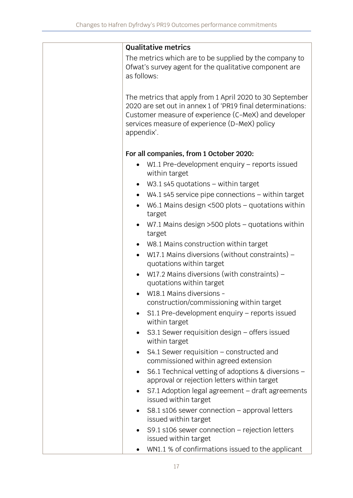|             | <b>Qualitative metrics</b>                                                                                                                                                                                                      |
|-------------|---------------------------------------------------------------------------------------------------------------------------------------------------------------------------------------------------------------------------------|
| as follows: | The metrics which are to be supplied by the company to<br>Ofwat's survey agent for the qualitative component are                                                                                                                |
| appendix'.  | The metrics that apply from 1 April 2020 to 30 September<br>2020 are set out in annex 1 of 'PR19 final determinations:<br>Customer measure of experience (C-MeX) and developer<br>services measure of experience (D-MeX) policy |
|             | For all companies, from 1 October 2020:                                                                                                                                                                                         |
|             | W1.1 Pre-development enquiry - reports issued<br>within target                                                                                                                                                                  |
| $\bullet$   | $W3.1$ s45 quotations – within target                                                                                                                                                                                           |
| $\bullet$   | $W4.1$ s45 service pipe connections $-$ within target                                                                                                                                                                           |
| $\bullet$   | W6.1 Mains design $<500$ plots – quotations within<br>target                                                                                                                                                                    |
| $\bullet$   | W7.1 Mains design $>500$ plots - quotations within<br>target                                                                                                                                                                    |
| $\bullet$   | W8.1 Mains construction within target                                                                                                                                                                                           |
| $\bullet$   | W17.1 Mains diversions (without constraints) –<br>quotations within target                                                                                                                                                      |
|             | W17.2 Mains diversions (with constraints) $-$<br>quotations within target                                                                                                                                                       |
|             | W18.1 Mains diversions -                                                                                                                                                                                                        |
|             | construction/commissioning within target                                                                                                                                                                                        |
|             | S1.1 Pre-development enquiry - reports issued<br>within target                                                                                                                                                                  |
|             | S3.1 Sewer requisition design – offers issued<br>within target                                                                                                                                                                  |
|             | $S4.1$ Sewer requisition – constructed and<br>commissioned within agreed extension                                                                                                                                              |
| $\bullet$   | S6.1 Technical vetting of adoptions & diversions -<br>approval or rejection letters within target                                                                                                                               |
|             | S7.1 Adoption legal agreement - draft agreements<br>issued within target                                                                                                                                                        |
|             | $S8.1$ s106 sewer connection – approval letters<br>issued within target                                                                                                                                                         |
|             | $S9.1$ s106 sewer connection – rejection letters<br>issued within target                                                                                                                                                        |
|             | WN1.1 % of confirmations issued to the applicant                                                                                                                                                                                |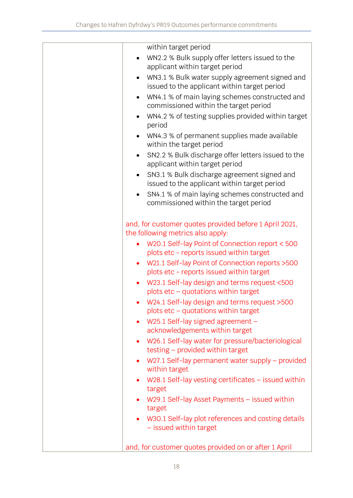| within target period                                                                                        |
|-------------------------------------------------------------------------------------------------------------|
| WN2.2 % Bulk supply offer letters issued to the<br>applicant within target period                           |
| WN3.1 % Bulk water supply agreement signed and<br>$\bullet$<br>issued to the applicant within target period |
| WN4.1 % of main laying schemes constructed and<br>$\bullet$<br>commissioned within the target period        |
| WN4.2 % of testing supplies provided within target<br>$\bullet$<br>period                                   |
| WN4.3 % of permanent supplies made available<br>$\bullet$<br>within the target period                       |
| SN2.2 % Bulk discharge offer letters issued to the<br>$\bullet$<br>applicant within target period           |
| SN3.1 % Bulk discharge agreement signed and<br>$\bullet$<br>issued to the applicant within target period    |
| SN4.1 % of main laying schemes constructed and<br>$\bullet$<br>commissioned within the target period        |
| and, for customer quotes provided before 1 April 2021,<br>the following metrics also apply:                 |
| W20.1 Self-lay Point of Connection report < 500<br>plots etc - reports issued within target                 |
| W21.1 Self-lay Point of Connection reports > 500<br>plots etc - reports issued within target                |
| W23.1 Self-lay design and terms request <500<br>$\bullet$<br>plots etc - quotations within target           |
| W24.1 Self-lay design and terms request >500<br>plots $etc -$ quotations within target                      |
| W25.1 Self-lay signed agreement -<br>$\bullet$<br>acknowledgements within target                            |
| W26.1 Self-lay water for pressure/bacteriological<br>$\bullet$<br>testing – provided within target          |
| W27.1 Self-lay permanent water supply - provided<br>within target                                           |
| W28.1 Self-lay vesting certificates $-$ issued within<br>$\bullet$<br>target                                |
| $W29.1$ Self-lay Asset Payments – issued within<br>$\bullet$<br>target                                      |
| W30.1 Self-lay plot references and costing details<br>$\bullet$<br>- issued within target                   |
| and, for customer quotes provided on or after 1 April                                                       |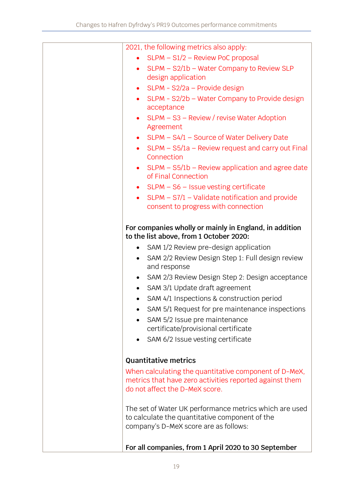| 2021, the following metrics also apply:                                                                  |
|----------------------------------------------------------------------------------------------------------|
| SLPM - S1/2 - Review PoC proposal                                                                        |
| SLPM - S2/1b - Water Company to Review SLP                                                               |
| design application                                                                                       |
| SLPM - S2/2a - Provide design<br>$\bullet$                                                               |
| SLPM - S2/2b - Water Company to Provide design<br>$\bullet$                                              |
| acceptance                                                                                               |
| SLPM – S3 – Review / revise Water Adoption<br>$\bullet$                                                  |
| Agreement                                                                                                |
| SLPM - S4/1 - Source of Water Delivery Date<br>$\bullet$                                                 |
| SLPM - S5/1a - Review request and carry out Final<br>$\bullet$<br>Connection                             |
| $SLPM - S5/1b$ – Review application and agree date<br>$\bullet$<br>of Final Connection                   |
| • $SLPM - S6 - Issue vesting certificate$                                                                |
| $SLPM - S7/1 - Validate notification and provide$<br>$\bullet$                                           |
| consent to progress with connection                                                                      |
|                                                                                                          |
| For companies wholly or mainly in England, in addition<br>to the list above, from 1 October 2020:        |
| SAM 1/2 Review pre-design application<br>$\bullet$                                                       |
| SAM 2/2 Review Design Step 1: Full design review<br>$\bullet$<br>and response                            |
| SAM 2/3 Review Design Step 2: Design acceptance<br>$\bullet$                                             |
| SAM 3/1 Update draft agreement                                                                           |
| SAM 4/1 Inspections & construction period                                                                |
| SAM 5/1 Request for pre maintenance inspections                                                          |
| SAM 5/2 Issue pre maintenance                                                                            |
| certificate/provisional certificate                                                                      |
| SAM 6/2 Issue vesting certificate                                                                        |
|                                                                                                          |
| <b>Quantitative metrics</b>                                                                              |
| When calculating the quantitative component of D-MeX,                                                    |
| metrics that have zero activities reported against them                                                  |
| do not affect the D-MeX score.                                                                           |
|                                                                                                          |
| The set of Water UK performance metrics which are used<br>to calculate the quantitative component of the |
| company's D-MeX score are as follows:                                                                    |
|                                                                                                          |
| For all companies, from 1 April 2020 to 30 September                                                     |
|                                                                                                          |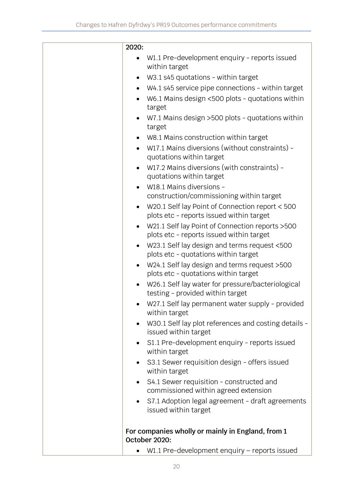| 2020:     |                                                                                              |
|-----------|----------------------------------------------------------------------------------------------|
|           | W1.1 Pre-development enquiry - reports issued<br>within target                               |
|           | W3.1 s45 quotations - within target                                                          |
|           | W4.1 s45 service pipe connections - within target                                            |
|           | W6.1 Mains design <500 plots - quotations within<br>target                                   |
| $\bullet$ | W7.1 Mains design >500 plots - quotations within<br>target                                   |
|           | W8.1 Mains construction within target                                                        |
| $\bullet$ | W17.1 Mains diversions (without constraints) -<br>quotations within target                   |
| $\bullet$ | W17.2 Mains diversions (with constraints) -<br>quotations within target                      |
|           | W18.1 Mains diversions -                                                                     |
|           | construction/commissioning within target                                                     |
| $\bullet$ | W20.1 Self lay Point of Connection report < 500<br>plots etc - reports issued within target  |
| $\bullet$ | W21.1 Self lay Point of Connection reports > 500<br>plots etc - reports issued within target |
| $\bullet$ | W23.1 Self lay design and terms request <500<br>plots etc - quotations within target         |
| $\bullet$ | W24.1 Self lay design and terms request >500<br>plots etc - quotations within target         |
| $\bullet$ | W26.1 Self lay water for pressure/bacteriological<br>testing - provided within target        |
|           | W27.1 Self lay permanent water supply - provided<br>within target                            |
| $\bullet$ | W30.1 Self lay plot references and costing details -<br>issued within target                 |
| $\bullet$ | S1.1 Pre-development enquiry - reports issued<br>within target                               |
| $\bullet$ | S3.1 Sewer requisition design - offers issued<br>within target                               |
|           | S4.1 Sewer requisition - constructed and<br>commissioned within agreed extension             |
| $\bullet$ | S7.1 Adoption legal agreement - draft agreements<br>issued within target                     |
|           | For companies wholly or mainly in England, from 1<br>October 2020:                           |
|           | W1.1 Pre-development enquiry - reports issued                                                |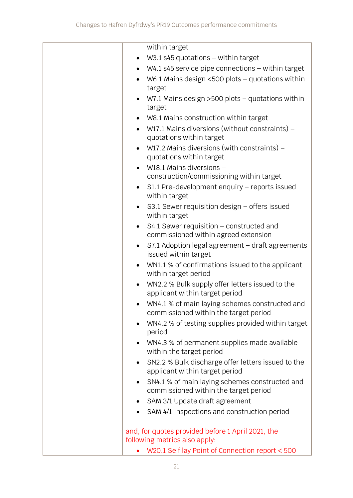|           | within target                                                                           |
|-----------|-----------------------------------------------------------------------------------------|
|           | W3.1 s45 quotations $-$ within target                                                   |
|           | $W4.1$ s45 service pipe connections $-$ within target                                   |
|           | W6.1 Mains design $<500$ plots - quotations within<br>target                            |
|           | W7.1 Mains design $>500$ plots - quotations within<br>target                            |
| $\bullet$ | W8.1 Mains construction within target                                                   |
| $\bullet$ | W17.1 Mains diversions (without constraints) -<br>quotations within target              |
| $\bullet$ | W17.2 Mains diversions (with constraints) $-$<br>quotations within target               |
|           | W18.1 Mains diversions -                                                                |
|           | construction/commissioning within target                                                |
| $\bullet$ | S1.1 Pre-development enquiry - reports issued<br>within target                          |
|           | S3.1 Sewer requisition design $-$ offers issued<br>within target                        |
| $\bullet$ | S4.1 Sewer requisition - constructed and<br>commissioned within agreed extension        |
| $\bullet$ | S7.1 Adoption legal agreement - draft agreements<br>issued within target                |
|           | WN1.1 % of confirmations issued to the applicant<br>within target period                |
|           | WN2.2 % Bulk supply offer letters issued to the<br>applicant within target period       |
|           | WN4.1 % of main laying schemes constructed and<br>commissioned within the target period |
|           | WN4.2 % of testing supplies provided within target<br>period                            |
|           | WN4.3 % of permanent supplies made available<br>within the target period                |
| $\bullet$ | SN2.2 % Bulk discharge offer letters issued to the<br>applicant within target period    |
|           | SN4.1 % of main laying schemes constructed and<br>commissioned within the target period |
|           | SAM 3/1 Update draft agreement                                                          |
|           | SAM 4/1 Inspections and construction period                                             |
|           | and, for quotes provided before 1 April 2021, the                                       |
|           | following metrics also apply:<br>W20.1 Self lay Point of Connection report < 500        |
|           |                                                                                         |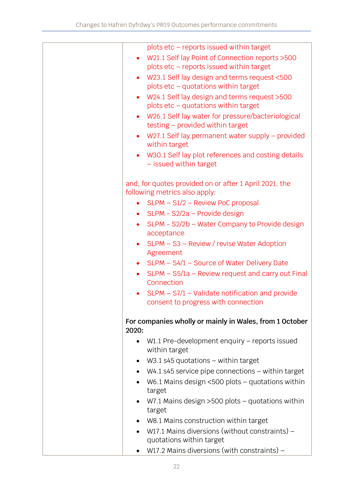| W21.1 Self lay Point of Connection reports > 500        |
|---------------------------------------------------------|
|                                                         |
|                                                         |
|                                                         |
|                                                         |
|                                                         |
| W26.1 Self lay water for pressure/bacteriological       |
|                                                         |
| W27.1 Self lay permanent water supply - provided        |
|                                                         |
| W30.1 Self lay plot references and costing details      |
|                                                         |
|                                                         |
|                                                         |
|                                                         |
|                                                         |
|                                                         |
| SLPM - S2/2b - Water Company to Provide design          |
|                                                         |
|                                                         |
|                                                         |
|                                                         |
| SLPM - S5/1a - Review request and carry out Final       |
|                                                         |
| $SLPM - S7/1 - Validate notification and provide$       |
|                                                         |
|                                                         |
| For companies wholly or mainly in Wales, from 1 October |
|                                                         |
| $W1.1$ Pre-development enquiry – reports issued         |
|                                                         |
|                                                         |
| $W4.1$ s45 service pipe connections $-$ within target   |
| W6.1 Mains design $<500$ plots – quotations within      |
|                                                         |
| W7.1 Mains design $>500$ plots – quotations within      |
|                                                         |
|                                                         |
|                                                         |
|                                                         |
|                                                         |
| W17.1 Mains diversions (without constraints) –          |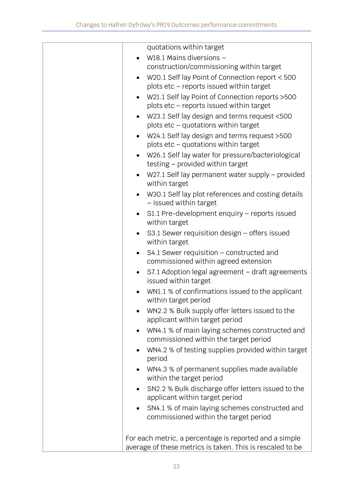|           | quotations within target                                                             |
|-----------|--------------------------------------------------------------------------------------|
|           | W18.1 Mains diversions -                                                             |
|           | construction/commissioning within target                                             |
| $\bullet$ | W20.1 Self lay Point of Connection report < 500                                      |
|           | plots etc - reports issued within target                                             |
| $\bullet$ | W21.1 Self lay Point of Connection reports > 500                                     |
|           | plots etc - reports issued within target                                             |
| $\bullet$ | W23.1 Self lay design and terms request <500                                         |
|           | plots $etc -$ quotations within target                                               |
| $\bullet$ | W24.1 Self lay design and terms request >500                                         |
|           | plots etc - quotations within target                                                 |
| $\bullet$ | W26.1 Self lay water for pressure/bacteriological                                    |
|           | testing - provided within target                                                     |
| $\bullet$ | W27.1 Self lay permanent water supply – provided<br>within target                    |
|           | W30.1 Self lay plot references and costing details                                   |
|           | - issued within target                                                               |
| $\bullet$ | S1.1 Pre-development enquiry - reports issued                                        |
|           | within target                                                                        |
| $\bullet$ | S3.1 Sewer requisition design - offers issued                                        |
|           | within target                                                                        |
| $\bullet$ | S4.1 Sewer requisition – constructed and                                             |
|           | commissioned within agreed extension                                                 |
| $\bullet$ | S7.1 Adoption legal agreement - draft agreements                                     |
|           | issued within target                                                                 |
|           | WN1.1 % of confirmations issued to the applicant<br>within target period             |
|           | WN2.2 % Bulk supply offer letters issued to the                                      |
|           | applicant within target period                                                       |
| $\bullet$ | WN4.1 % of main laying schemes constructed and                                       |
|           | commissioned within the target period                                                |
| $\bullet$ | WN4.2 % of testing supplies provided within target                                   |
|           | period                                                                               |
| $\bullet$ | WN4.3 % of permanent supplies made available                                         |
|           | within the target period                                                             |
|           | SN2.2 % Bulk discharge offer letters issued to the<br>applicant within target period |
| $\bullet$ | SN4.1 % of main laying schemes constructed and                                       |
|           | commissioned within the target period                                                |
|           |                                                                                      |
|           | For each metric, a percentage is reported and a simple                               |
|           | average of these metrics is taken. This is rescaled to be                            |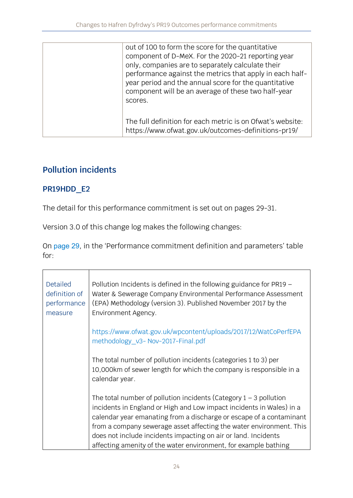| out of 100 to form the score for the quantitative<br>component of D-MeX. For the 2020-21 reporting year<br>only, companies are to separately calculate their<br>performance against the metrics that apply in each half-<br>year period and the annual score for the quantitative<br>component will be an average of these two half-year<br>scores. |
|-----------------------------------------------------------------------------------------------------------------------------------------------------------------------------------------------------------------------------------------------------------------------------------------------------------------------------------------------------|
| The full definition for each metric is on Ofwat's website:<br>https://www.ofwat.gov.uk/outcomes-definitions-pr19/                                                                                                                                                                                                                                   |

# **Pollution incidents**

### **PR19HDD\_E2**

The detail for this performance commitment is set out on pages 29-31.

Version 3.0 of this change log makes the following changes:

On [page 29](https://www.ofwat.gov.uk/wp-content/uploads/2019/12/PR19-final-determinations-Hafren-Dyfrdwy-Outcomes-performance-commitment-appendix.pdf#page=30), in the 'Performance commitment definition and parameters' table for:

| <b>Detailed</b><br>definition of<br>performance<br>measure | Pollution Incidents is defined in the following guidance for $PR19 -$<br>Water & Sewerage Company Environmental Performance Assessment<br>(EPA) Methodology (version 3). Published November 2017 by the<br>Environment Agency. |
|------------------------------------------------------------|--------------------------------------------------------------------------------------------------------------------------------------------------------------------------------------------------------------------------------|
|                                                            | https://www.ofwat.gov.uk/wpcontent/uploads/2017/12/WatCoPerfEPA<br>methodology v3- Nov-2017-Final.pdf                                                                                                                          |
|                                                            | The total number of pollution incidents (categories 1 to 3) per<br>10,000km of sewer length for which the company is responsible in a<br>calendar year.                                                                        |
|                                                            | The total number of pollution incidents (Category $1 - 3$ pollution<br>incidents in England or High and Low impact incidents in Wales) in a<br>calendar year emanating from a discharge or escape of a contaminant             |
|                                                            | from a company sewerage asset affecting the water environment. This                                                                                                                                                            |
|                                                            | does not include incidents impacting on air or land. Incidents                                                                                                                                                                 |
|                                                            | affecting amenity of the water environment, for example bathing                                                                                                                                                                |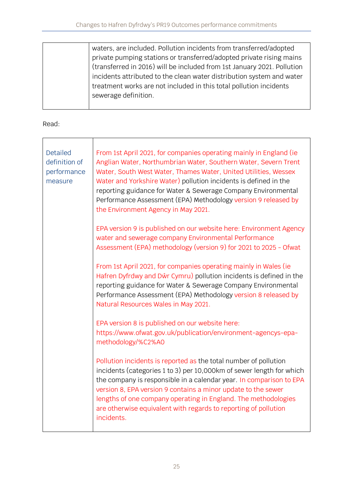| waters, are included. Pollution incidents from transferred/adopted      |
|-------------------------------------------------------------------------|
| private pumping stations or transferred/adopted private rising mains    |
| (transferred in 2016) will be included from 1st January 2021. Pollution |
| incidents attributed to the clean water distribution system and water   |
| treatment works are not included in this total pollution incidents      |
| sewerage definition.                                                    |
|                                                                         |

| <b>Detailed</b><br>definition of<br>performance<br>measure | From 1st April 2021, for companies operating mainly in England (ie<br>Anglian Water, Northumbrian Water, Southern Water, Severn Trent<br>Water, South West Water, Thames Water, United Utilities, Wessex<br>Water and Yorkshire Water) pollution incidents is defined in the<br>reporting guidance for Water & Sewerage Company Environmental<br>Performance Assessment (EPA) Methodology version 9 released by<br>the Environment Agency in May 2021. |
|------------------------------------------------------------|--------------------------------------------------------------------------------------------------------------------------------------------------------------------------------------------------------------------------------------------------------------------------------------------------------------------------------------------------------------------------------------------------------------------------------------------------------|
|                                                            | EPA version 9 is published on our website here: Environment Agency<br>water and sewerage company Environmental Performance<br>Assessment (EPA) methodology (version 9) for 2021 to 2025 - Ofwat                                                                                                                                                                                                                                                        |
|                                                            | From 1st April 2021, for companies operating mainly in Wales (ie<br>Hafren Dyfrdwy and Dŵr Cymru) pollution incidents is defined in the<br>reporting guidance for Water & Sewerage Company Environmental<br>Performance Assessment (EPA) Methodology version 8 released by<br>Natural Resources Wales in May 2021.                                                                                                                                     |
|                                                            | EPA version 8 is published on our website here:<br>https://www.ofwat.gov.uk/publication/environment-agencys-epa-<br>methodology/%C2%A0                                                                                                                                                                                                                                                                                                                 |
|                                                            | Pollution incidents is reported as the total number of pollution<br>incidents (categories 1 to 3) per 10,000km of sewer length for which<br>the company is responsible in a calendar year. In comparison to EPA<br>version 8, EPA version 9 contains a minor update to the sewer<br>lengths of one company operating in England. The methodologies<br>are otherwise equivalent with regards to reporting of pollution<br>incidents.                    |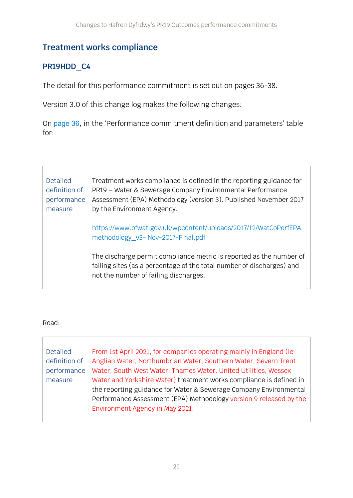## **Treatment works compliance**

## **PR19HDD\_C4**

The detail for this performance commitment is set out on pages 36-38.

Version 3.0 of this change log makes the following changes:

On [page 36](https://www.ofwat.gov.uk/wp-content/uploads/2019/12/PR19-final-determinations-Hafren-Dyfrdwy-Outcomes-performance-commitment-appendix.pdf#page=37), in the 'Performance commitment definition and parameters' table for:

| <b>Detailed</b><br>definition of<br>performance<br>measure | Treatment works compliance is defined in the reporting guidance for<br>PR19 - Water & Sewerage Company Environmental Performance<br>Assessment (EPA) Methodology (version 3). Published November 2017<br>by the Environment Agency. |  |
|------------------------------------------------------------|-------------------------------------------------------------------------------------------------------------------------------------------------------------------------------------------------------------------------------------|--|
|                                                            | https://www.ofwat.gov.uk/wpcontent/uploads/2017/12/WatCoPerfEPA<br>methodology v3- Nov-2017-Final.pdf                                                                                                                               |  |
|                                                            | The discharge permit compliance metric is reported as the number of<br>failing sites (as a percentage of the total number of discharges) and<br>not the number of failing discharges.                                               |  |

| Detailed      | From 1st April 2021, for companies operating mainly in England (ie) |  |
|---------------|---------------------------------------------------------------------|--|
| definition of | Anglian Water, Northumbrian Water, Southern Water, Severn Trent     |  |
| performance   | Water, South West Water, Thames Water, United Utilities, Wessex     |  |
| measure       | Water and Yorkshire Water) treatment works compliance is defined in |  |
|               | the reporting guidance for Water & Sewerage Company Environmental   |  |
|               | Performance Assessment (EPA) Methodology version 9 released by the  |  |
|               | Environment Agency in May 2021.                                     |  |
|               |                                                                     |  |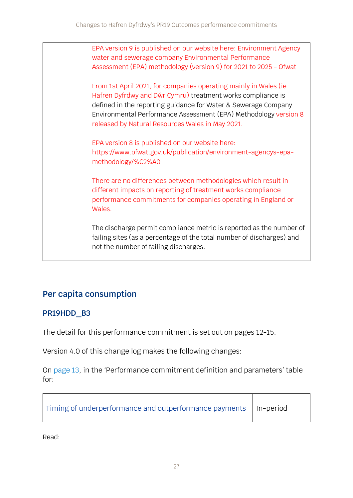EPA version 9 is published on our website here: [Environment Agency](https://www.ofwat.gov.uk/publication/environment-agency-water-and-sewerage-company-environmental-performance-assessment-epa-methodology-version-9-for-2021-to-2025/)  [water and sewerage company Environmental Performance](https://www.ofwat.gov.uk/publication/environment-agency-water-and-sewerage-company-environmental-performance-assessment-epa-methodology-version-9-for-2021-to-2025/)  [Assessment \(EPA\) methodology \(version 9\) for 2021 to 2025 -](https://www.ofwat.gov.uk/publication/environment-agency-water-and-sewerage-company-environmental-performance-assessment-epa-methodology-version-9-for-2021-to-2025/) Ofwat From 1st April 2021, for companies operating mainly in Wales (ie Hafren Dyfrdwy and Dŵr Cymru) treatment works compliance is defined in the reporting guidance for Water & Sewerage Company Environmental Performance Assessment (EPA) Methodology version 8 released by Natural Resources Wales in May 2021. EPA version 8 is published on our website here: [https://www.ofwat.gov.uk/publication/environment-agencys-epa](https://www.ofwat.gov.uk/publication/environment-agencys-epa-methodology/%C2%A0)[methodology/%C2%A0](https://www.ofwat.gov.uk/publication/environment-agencys-epa-methodology/%C2%A0) There are no differences between methodologies which result in different impacts on reporting of treatment works compliance performance commitments for companies operating in England or Wales. The discharge permit compliance metric is reported as the number of failing sites (as a percentage of the total number of discharges) and not the number of failing discharges.

# **Per capita consumption**

### **PR19HDD\_B3**

The detail for this performance commitment is set out on pages 12-15.

Version 4.0 of this change log makes the following changes:

On [page 13](https://www.ofwat.gov.uk/wp-content/uploads/2019/12/PR19-final-determinations-Hafren-Dyfrdwy-Outcomes-performance-commitment-appendix.pdf#page=14), in the 'Performance commitment definition and parameters' table for:

| I Timing of underperformance and outperformance payments   In-period |  |
|----------------------------------------------------------------------|--|
|----------------------------------------------------------------------|--|